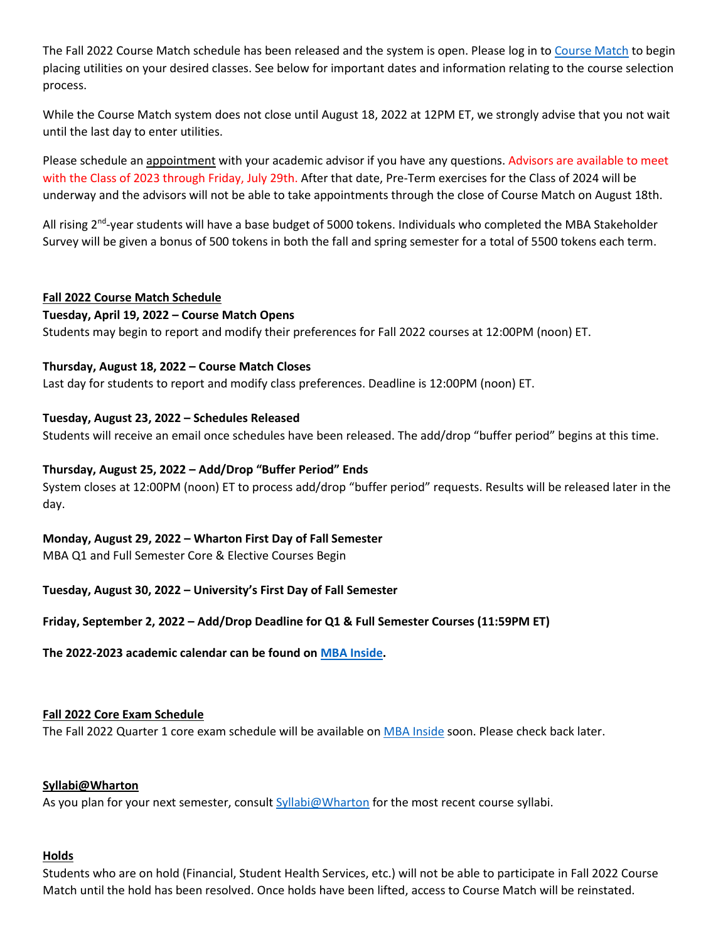The Fall 2022 Course Match schedule has been released and the system is open. Please log in t[o Course Match](https://mba-inside.wharton.upenn.edu/course-match/) to begin placing utilities on your desired classes. See below for important dates and information relating to the course selection process.

While the Course Match system does not close until August 18, 2022 at 12PM ET, we strongly advise that you not wait until the last day to enter utilities.

Please schedule an [appointment](https://mba-inside.wharton.upenn.edu/academics/) with your academic advisor if you have any questions. Advisors are available to meet with the Class of 2023 through Friday, July 29th. After that date, Pre-Term exercises for the Class of 2024 will be underway and the advisors will not be able to take appointments through the close of Course Match on August 18th.

All rising 2<sup>nd</sup>-year students will have a base budget of 5000 tokens. Individuals who completed the MBA Stakeholder Survey will be given a bonus of 500 tokens in both the fall and spring semester for a total of 5500 tokens each term.

#### **Fall 2022 Course Match Schedule**

#### **Tuesday, April 19, 2022 – Course Match Opens**

Students may begin to report and modify their preferences for Fall 2022 courses at 12:00PM (noon) ET.

## **Thursday, August 18, 2022 – Course Match Closes**

Last day for students to report and modify class preferences. Deadline is 12:00PM (noon) ET.

## **Tuesday, August 23, 2022 – Schedules Released**

Students will receive an email once schedules have been released. The add/drop "buffer period" begins at this time.

## **Thursday, August 25, 2022 – Add/Drop "Buffer Period" Ends**

System closes at 12:00PM (noon) ET to process add/drop "buffer period" requests. Results will be released later in the day.

# **Monday, August 29, 2022 – Wharton First Day of Fall Semester**

MBA Q1 and Full Semester Core & Elective Courses Begin

**Tuesday, August 30, 2022 – University's First Day of Fall Semester**

#### **Friday, September 2, 2022 – Add/Drop Deadline for Q1 & Full Semester Courses (11:59PM ET)**

#### **The 2022-2023 academic calendar can be found o[n MBA Inside.](https://mba-inside.wharton.upenn.edu/calendars/academic-calendars/2022-23-wharton-mba-academic-calendar/)**

#### **Fall 2022 Core Exam Schedule**

The Fall 2022 Quarter 1 core exam schedule will be available o[n MBA Inside](https://mba-inside.wharton.upenn.edu/calendars/exam-calendars/) soon. Please check back later.

#### **Syllabi@Wharton**

As you plan for your next semester, consult [Syllabi@Wharton](https://apps.wharton.upenn.edu/syllabi/) for the most recent course syllabi.

#### **Holds**

Students who are on hold (Financial, Student Health Services, etc.) will not be able to participate in Fall 2022 Course Match until the hold has been resolved. Once holds have been lifted, access to Course Match will be reinstated.